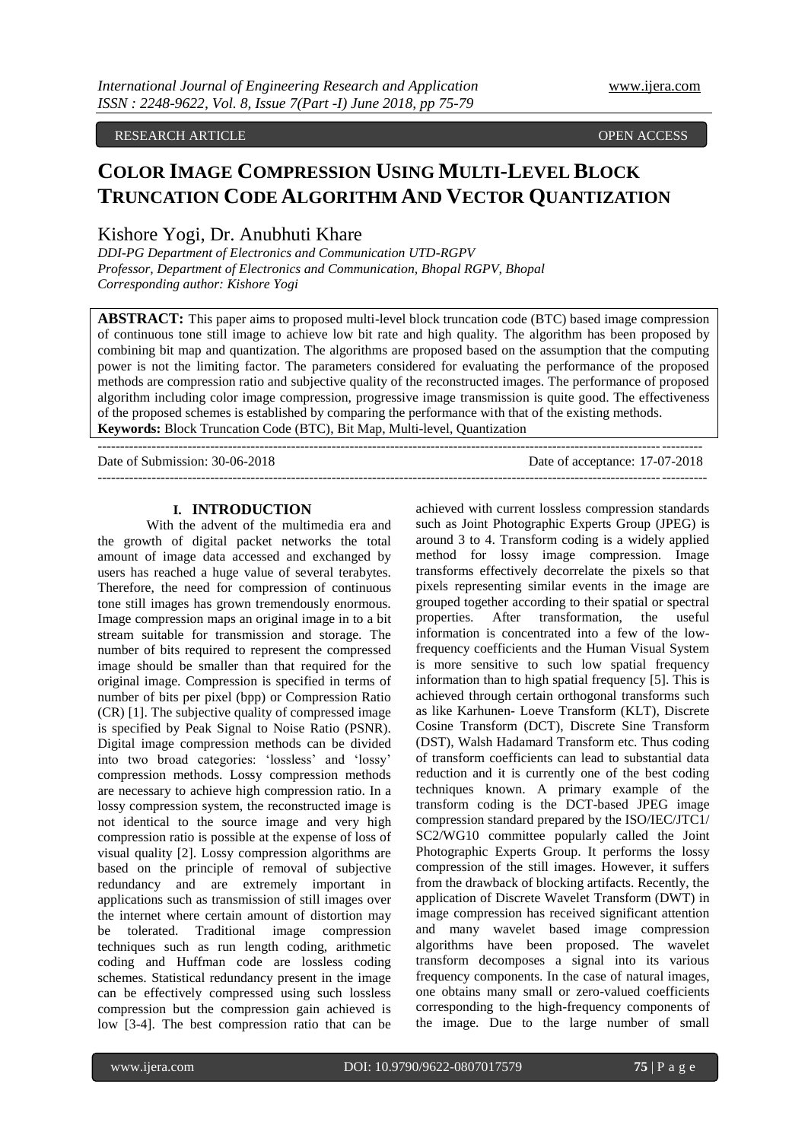#### RESEARCH ARTICLE **CONSERVERS** OPEN ACCESS OPEN ACCESS

# **COLOR IMAGE COMPRESSION USING MULTI-LEVEL BLOCK TRUNCATION CODE ALGORITHM AND VECTOR QUANTIZATION**

## Kishore Yogi, Dr. Anubhuti Khare

*DDI-PG Department of Electronics and Communication UTD-RGPV Professor, Department of Electronics and Communication, Bhopal RGPV, Bhopal Corresponding author: Kishore Yogi*

**ABSTRACT:** This paper aims to proposed multi-level block truncation code (BTC) based image compression of continuous tone still image to achieve low bit rate and high quality. The algorithm has been proposed by combining bit map and quantization. The algorithms are proposed based on the assumption that the computing power is not the limiting factor. The parameters considered for evaluating the performance of the proposed methods are compression ratio and subjective quality of the reconstructed images. The performance of proposed algorithm including color image compression, progressive image transmission is quite good. The effectiveness of the proposed schemes is established by comparing the performance with that of the existing methods. **Keywords:** Block Truncation Code (BTC), Bit Map, Multi-level, Quantization

---------------------------------------------------------------------------------------------------------------------------------------

 $-1-\frac{1}{2}$ 

Date of Submission: 30-06-2018 Date of acceptance: 17-07-2018

## **I. INTRODUCTION**

With the advent of the multimedia era and the growth of digital packet networks the total amount of image data accessed and exchanged by users has reached a huge value of several terabytes. Therefore, the need for compression of continuous tone still images has grown tremendously enormous. Image compression maps an original image in to a bit stream suitable for transmission and storage. The number of bits required to represent the compressed image should be smaller than that required for the original image. Compression is specified in terms of number of bits per pixel (bpp) or Compression Ratio (CR) [1]. The subjective quality of compressed image is specified by Peak Signal to Noise Ratio (PSNR). Digital image compression methods can be divided into two broad categories: 'lossless' and 'lossy' compression methods. Lossy compression methods are necessary to achieve high compression ratio. In a lossy compression system, the reconstructed image is not identical to the source image and very high compression ratio is possible at the expense of loss of visual quality [2]. Lossy compression algorithms are based on the principle of removal of subjective redundancy and are extremely important in applications such as transmission of still images over the internet where certain amount of distortion may be tolerated. Traditional image compression techniques such as run length coding, arithmetic coding and Huffman code are lossless coding schemes. Statistical redundancy present in the image can be effectively compressed using such lossless compression but the compression gain achieved is low [3-4]. The best compression ratio that can be

achieved with current lossless compression standards such as Joint Photographic Experts Group (JPEG) is around 3 to 4. Transform coding is a widely applied method for lossy image compression. Image transforms effectively decorrelate the pixels so that pixels representing similar events in the image are grouped together according to their spatial or spectral properties. After transformation, the useful information is concentrated into a few of the lowfrequency coefficients and the Human Visual System is more sensitive to such low spatial frequency information than to high spatial frequency [5]. This is achieved through certain orthogonal transforms such as like Karhunen- Loeve Transform (KLT), Discrete Cosine Transform (DCT), Discrete Sine Transform (DST), Walsh Hadamard Transform etc. Thus coding of transform coefficients can lead to substantial data reduction and it is currently one of the best coding techniques known. A primary example of the transform coding is the DCT-based JPEG image compression standard prepared by the ISO/IEC/JTC1/ SC2/WG10 committee popularly called the Joint Photographic Experts Group. It performs the lossy compression of the still images. However, it suffers from the drawback of blocking artifacts. Recently, the application of Discrete Wavelet Transform (DWT) in image compression has received significant attention and many wavelet based image compression algorithms have been proposed. The wavelet transform decomposes a signal into its various frequency components. In the case of natural images, one obtains many small or zero-valued coefficients corresponding to the high-frequency components of the image. Due to the large number of small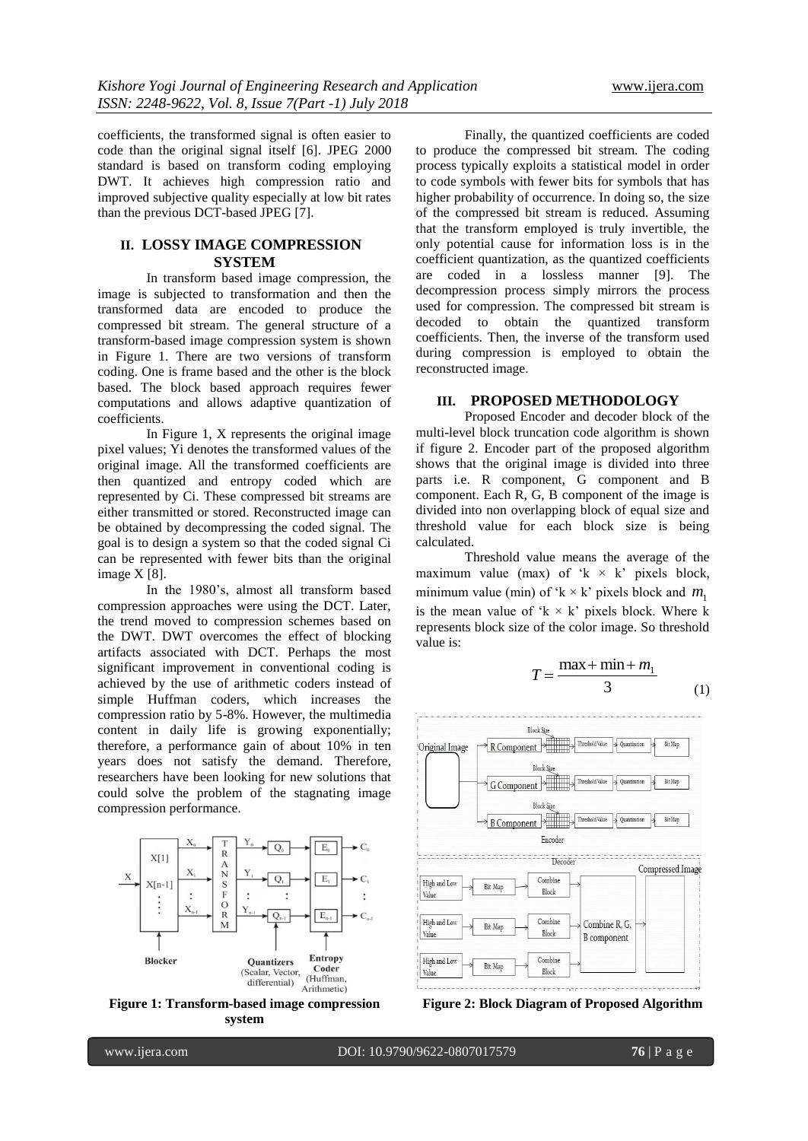coefficients, the transformed signal is often easier to code than the original signal itself [6]. JPEG 2000 standard is based on transform coding employing DWT. It achieves high compression ratio and improved subjective quality especially at low bit rates than the previous DCT-based JPEG [7].

### **II. LOSSY IMAGE COMPRESSION SYSTEM**

In transform based image compression, the image is subjected to transformation and then the transformed data are encoded to produce the compressed bit stream. The general structure of a transform-based image compression system is shown in Figure 1. There are two versions of transform coding. One is frame based and the other is the block based. The block based approach requires fewer computations and allows adaptive quantization of coefficients.

In Figure 1, X represents the original image pixel values; Yi denotes the transformed values of the original image. All the transformed coefficients are then quantized and entropy coded which are represented by Ci. These compressed bit streams are either transmitted or stored. Reconstructed image can be obtained by decompressing the coded signal. The goal is to design a system so that the coded signal Ci can be represented with fewer bits than the original image X [8].

In the 1980"s, almost all transform based compression approaches were using the DCT. Later, the trend moved to compression schemes based on the DWT. DWT overcomes the effect of blocking artifacts associated with DCT. Perhaps the most significant improvement in conventional coding is achieved by the use of arithmetic coders instead of simple Huffman coders, which increases the compression ratio by 5-8%. However, the multimedia content in daily life is growing exponentially; therefore, a performance gain of about 10% in ten years does not satisfy the demand. Therefore, researchers have been looking for new solutions that could solve the problem of the stagnating image compression performance.



**Figure 1: Transform-based image compression system**

Finally, the quantized coefficients are coded to produce the compressed bit stream. The coding process typically exploits a statistical model in order to code symbols with fewer bits for symbols that has higher probability of occurrence. In doing so, the size of the compressed bit stream is reduced. Assuming that the transform employed is truly invertible, the only potential cause for information loss is in the coefficient quantization, as the quantized coefficients are coded in a lossless manner [9]. The decompression process simply mirrors the process used for compression. The compressed bit stream is decoded to obtain the quantized transform coefficients. Then, the inverse of the transform used during compression is employed to obtain the reconstructed image.

## **III. PROPOSED METHODOLOGY**

Proposed Encoder and decoder block of the multi-level block truncation code algorithm is shown if figure 2. Encoder part of the proposed algorithm shows that the original image is divided into three parts i.e. R component, G component and B component. Each R, G, B component of the image is divided into non overlapping block of equal size and threshold value for each block size is being calculated.

Threshold value means the average of the maximum value (max) of  $k \times k$  pixels block, minimum value (min) of ' $k \times k$ ' pixels block and  $m_1$ is the mean value of  $k \times k$  pixels block. Where k represents block size of the color image. So threshold value is:

$$
T = \frac{\max + \min + m_1}{3} \tag{1}
$$



**Figure 2: Block Diagram of Proposed Algorithm**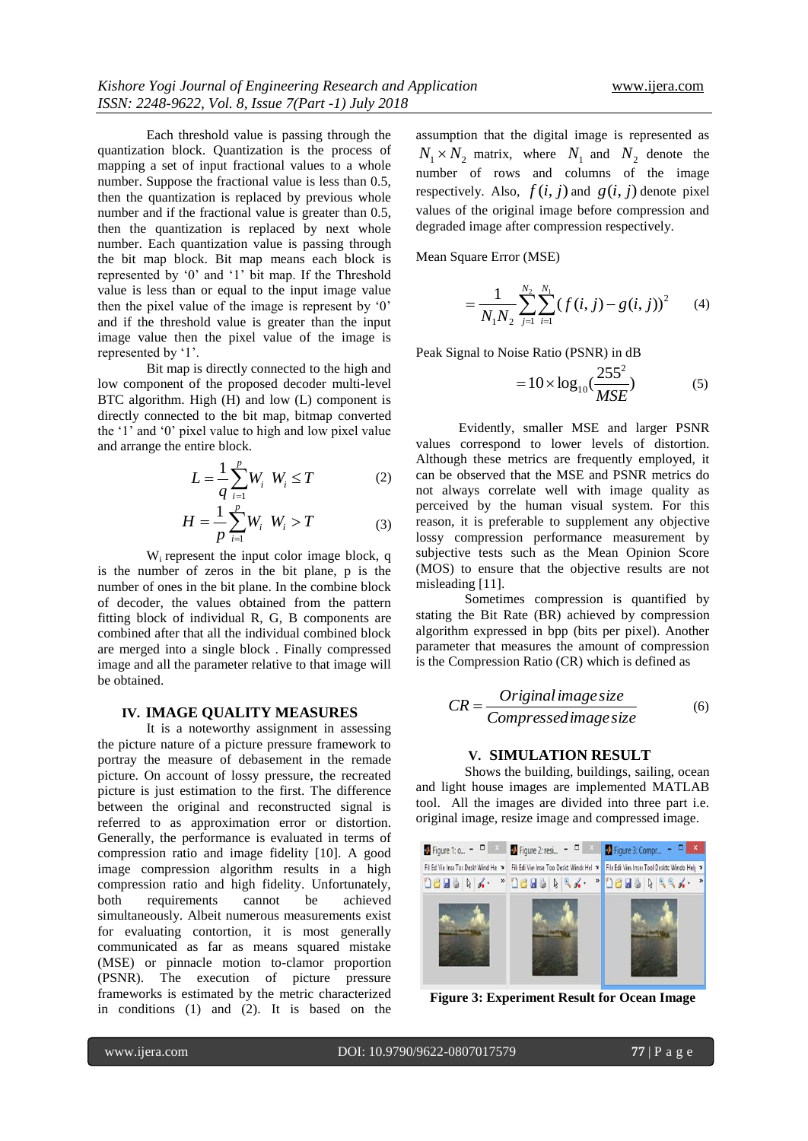Each threshold value is passing through the quantization block. Quantization is the process of mapping a set of input fractional values to a whole number. Suppose the fractional value is less than 0.5, then the quantization is replaced by previous whole number and if the fractional value is greater than 0.5, then the quantization is replaced by next whole number. Each quantization value is passing through the bit map block. Bit map means each block is represented by "0" and "1" bit map. If the Threshold value is less than or equal to the input image value then the pixel value of the image is represent by '0' and if the threshold value is greater than the input image value then the pixel value of the image is represented by '1'.

Bit map is directly connected to the high and low component of the proposed decoder multi-level BTC algorithm. High (H) and low (L) component is directly connected to the bit map, bitmap converted the "1" and "0" pixel value to high and low pixel value and arrange the entire block.

$$
L = \frac{1}{q} \sum_{i=1}^{p} W_i \ W_i \le T \tag{2}
$$

$$
H = \frac{1}{p} \sum_{i=1}^{p} W_i \ W_i > T
$$
 (3)

W<sub>i</sub> represent the input color image block, q is the number of zeros in the bit plane, p is the number of ones in the bit plane. In the combine block of decoder, the values obtained from the pattern fitting block of individual R, G, B components are combined after that all the individual combined block are merged into a single block . Finally compressed image and all the parameter relative to that image will be obtained.

#### **IV. IMAGE QUALITY MEASURES**

It is a noteworthy assignment in assessing the picture nature of a picture pressure framework to portray the measure of debasement in the remade picture. On account of lossy pressure, the recreated picture is just estimation to the first. The difference between the original and reconstructed signal is referred to as approximation error or distortion. Generally, the performance is evaluated in terms of compression ratio and image fidelity [10]. A good image compression algorithm results in a high compression ratio and high fidelity. Unfortunately, both requirements cannot be achieved simultaneously. Albeit numerous measurements exist for evaluating contortion, it is most generally communicated as far as means squared mistake (MSE) or pinnacle motion to-clamor proportion (PSNR). The execution of picture pressure frameworks is estimated by the metric characterized in conditions (1) and (2). It is based on the

assumption that the digital image is represented as  $N_1 \times N_2$  matrix, where  $N_1$  and  $N_2$  denote the number of rows and columns of the image respectively. Also,  $f(i, j)$  and  $g(i, j)$  denote pixel values of the original image before compression and degraded image after compression respectively.

Mean Square Error (MSE)

$$
=\frac{1}{N_1N_2}\sum_{j=1}^{N_2}\sum_{i=1}^{N_1}(f(i,j)-g(i,j))^2\qquad(4)
$$

Peak Signal to Noise Ratio (PSNR) in dB

$$
=10\times\log_{10}(\frac{255^2}{MSE})
$$
 (5)

Evidently, smaller MSE and larger PSNR values correspond to lower levels of distortion. Although these metrics are frequently employed, it can be observed that the MSE and PSNR metrics do not always correlate well with image quality as perceived by the human visual system. For this reason, it is preferable to supplement any objective lossy compression performance measurement by subjective tests such as the Mean Opinion Score (MOS) to ensure that the objective results are not misleading [11].

Sometimes compression is quantified by stating the Bit Rate (BR) achieved by compression algorithm expressed in bpp (bits per pixel). Another parameter that measures the amount of compression is the Compression Ratio (CR) which is defined as

$$
CR = \frac{Original \, image \, size}{Compressed \, image \, size}
$$
 (6)

#### **V. SIMULATION RESULT**

Shows the building, buildings, sailing, ocean and light house images are implemented MATLAB tool. All the images are divided into three part i.e. original image, resize image and compressed image.



**Figure 3: Experiment Result for Ocean Image**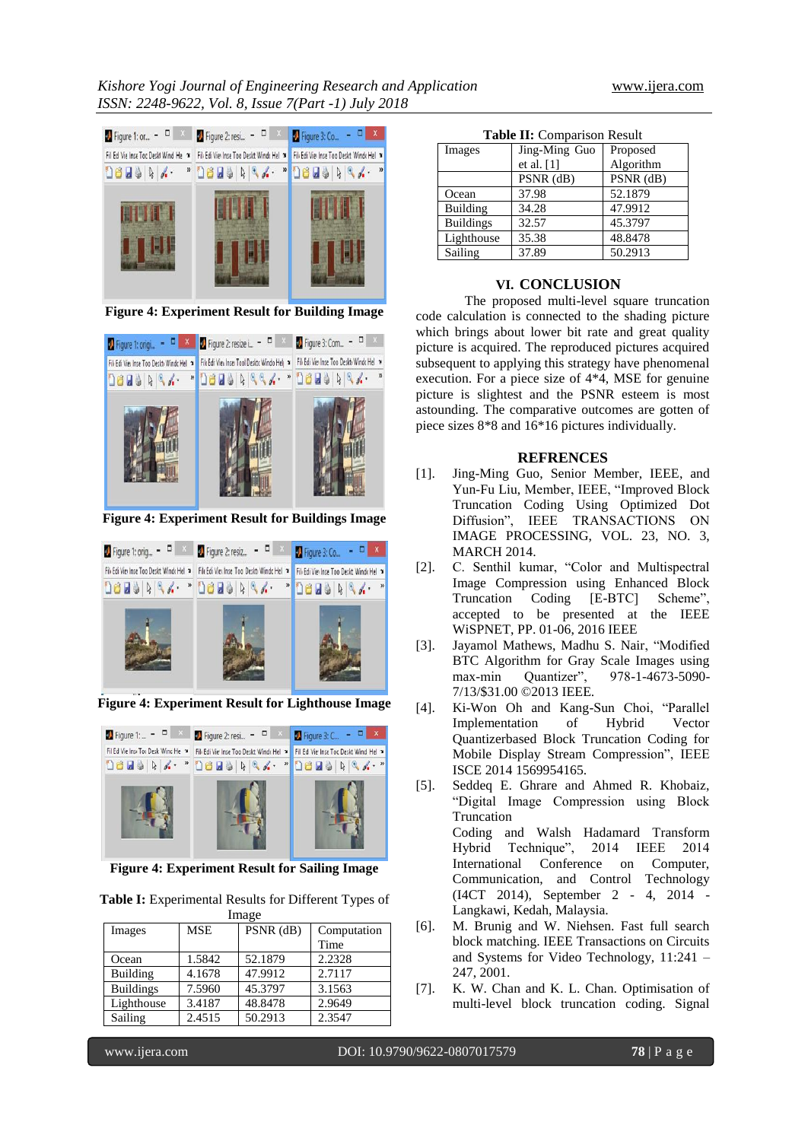

**Figure 4: Experiment Result for Building Image**



**Figure 4: Experiment Result for Buildings Image**



**Figure 4: Experiment Result for Lighthouse Image**



**Figure 4: Experiment Result for Sailing Image**

**Table I:** Experimental Results for Different Types of Image

| Images           | <b>MSE</b> | $PSNR$ (dB) | Computation |
|------------------|------------|-------------|-------------|
|                  |            |             | Time        |
| Ocean            | 1.5842     | 52.1879     | 2.2328      |
| <b>Building</b>  | 4.1678     | 47.9912     | 2.7117      |
| <b>Buildings</b> | 7.5960     | 45.3797     | 3.1563      |
| Lighthouse       | 3.4187     | 48.8478     | 2.9649      |
| Sailing          | 2.4515     | 50.2913     | 2.3547      |

|  | <b>Table II:</b> Comparison Result |  |
|--|------------------------------------|--|
|--|------------------------------------|--|

| <b>rapic 11.</b> Comparison Result |               |             |  |  |
|------------------------------------|---------------|-------------|--|--|
| Images                             | Jing-Ming Guo | Proposed    |  |  |
|                                    | et al. $[1]$  | Algorithm   |  |  |
|                                    | $PSNR$ (dB)   | $PSNR$ (dB) |  |  |
| Ocean                              | 37.98         | 52.1879     |  |  |
| Building                           | 34.28         | 47.9912     |  |  |
| <b>Buildings</b>                   | 32.57         | 45.3797     |  |  |
| Lighthouse                         | 35.38         | 48.8478     |  |  |
| Sailing                            | 37.89         | 50.2913     |  |  |

#### **VI. CONCLUSION**

The proposed multi-level square truncation code calculation is connected to the shading picture which brings about lower bit rate and great quality picture is acquired. The reproduced pictures acquired subsequent to applying this strategy have phenomenal execution. For a piece size of 4\*4, MSE for genuine picture is slightest and the PSNR esteem is most astounding. The comparative outcomes are gotten of piece sizes 8\*8 and 16\*16 pictures individually.

#### **REFRENCES**

- [1]. Jing-Ming Guo, Senior Member, IEEE, and Yun-Fu Liu, Member, IEEE, "Improved Block Truncation Coding Using Optimized Dot Diffusion", IEEE TRANSACTIONS ON IMAGE PROCESSING, VOL. 23, NO. 3, MARCH 2014.
- [2]. C. Senthil kumar, "Color and Multispectral Image Compression using Enhanced Block Truncation Coding [E-BTC] Scheme", accepted to be presented at the IEEE WiSPNET, PP. 01-06, 2016 IEEE
- [3]. Jayamol Mathews, Madhu S. Nair, "Modified BTC Algorithm for Gray Scale Images using max-min Quantizer", 978-1-4673-5090- 7/13/\$31.00 ©2013 IEEE.
- [4]. Ki-Won Oh and Kang-Sun Choi, "Parallel Implementation of Hybrid Vector Quantizerbased Block Truncation Coding for Mobile Display Stream Compression", IEEE ISCE 2014 1569954165.
- [5]. Seddeq E. Ghrare and Ahmed R. Khobaiz, "Digital Image Compression using Block Truncation Coding and Walsh Hadamard Transform Hybrid Technique", 2014 IEEE 2014 International Conference on Computer, Communication, and Control Technology (I4CT 2014), September 2 - 4, 2014 - Langkawi, Kedah, Malaysia.
- [6]. M. Brunig and W. Niehsen. Fast full search block matching. IEEE Transactions on Circuits and Systems for Video Technology, 11:241 – 247, 2001.
- [7]. K. W. Chan and K. L. Chan. Optimisation of multi-level block truncation coding. Signal